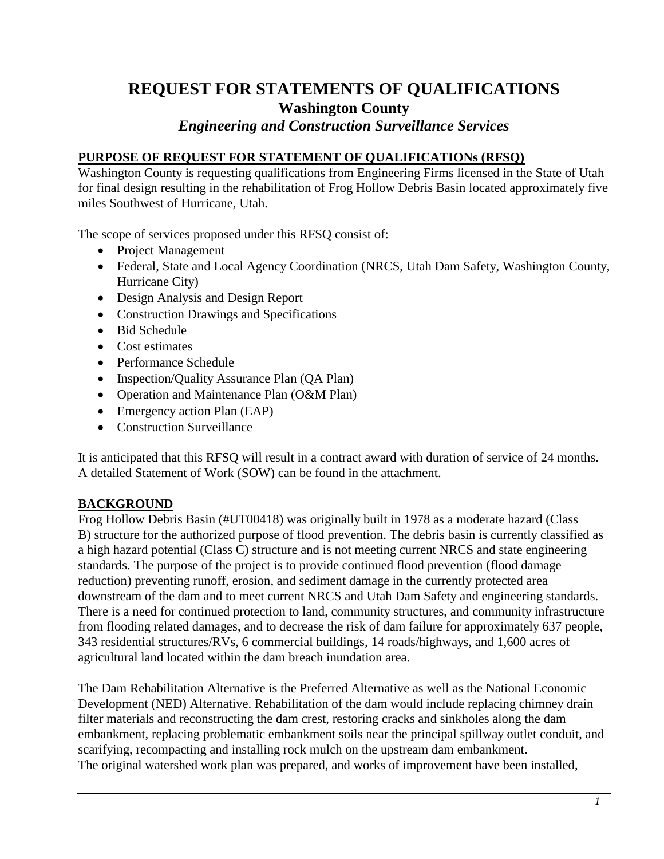# **REQUEST FOR STATEMENTS OF QUALIFICATIONS Washington County**

# *Engineering and Construction Surveillance Services*

#### **PURPOSE OF REQUEST FOR STATEMENT OF QUALIFICATIONs (RFSQ)**

Washington County is requesting qualifications from Engineering Firms licensed in the State of Utah for final design resulting in the rehabilitation of Frog Hollow Debris Basin located approximately five miles Southwest of Hurricane, Utah.

The scope of services proposed under this RFSQ consist of:

- Project Management
- Federal, State and Local Agency Coordination (NRCS, Utah Dam Safety, Washington County, Hurricane City)
- Design Analysis and Design Report
- Construction Drawings and Specifications
- Bid Schedule
- Cost estimates
- Performance Schedule
- Inspection/Quality Assurance Plan (QA Plan)
- Operation and Maintenance Plan (O&M Plan)
- Emergency action Plan (EAP)
- Construction Surveillance

It is anticipated that this RFSQ will result in a contract award with duration of service of 24 months. A detailed Statement of Work (SOW) can be found in the attachment.

## **BACKGROUND**

Frog Hollow Debris Basin (#UT00418) was originally built in 1978 as a moderate hazard (Class B) structure for the authorized purpose of flood prevention. The debris basin is currently classified as a high hazard potential (Class C) structure and is not meeting current NRCS and state engineering standards. The purpose of the project is to provide continued flood prevention (flood damage reduction) preventing runoff, erosion, and sediment damage in the currently protected area downstream of the dam and to meet current NRCS and Utah Dam Safety and engineering standards. There is a need for continued protection to land, community structures, and community infrastructure from flooding related damages, and to decrease the risk of dam failure for approximately 637 people, 343 residential structures/RVs, 6 commercial buildings, 14 roads/highways, and 1,600 acres of agricultural land located within the dam breach inundation area.

The Dam Rehabilitation Alternative is the Preferred Alternative as well as the National Economic Development (NED) Alternative. Rehabilitation of the dam would include replacing chimney drain filter materials and reconstructing the dam crest, restoring cracks and sinkholes along the dam embankment, replacing problematic embankment soils near the principal spillway outlet conduit, and scarifying, recompacting and installing rock mulch on the upstream dam embankment. The original watershed work plan was prepared, and works of improvement have been installed,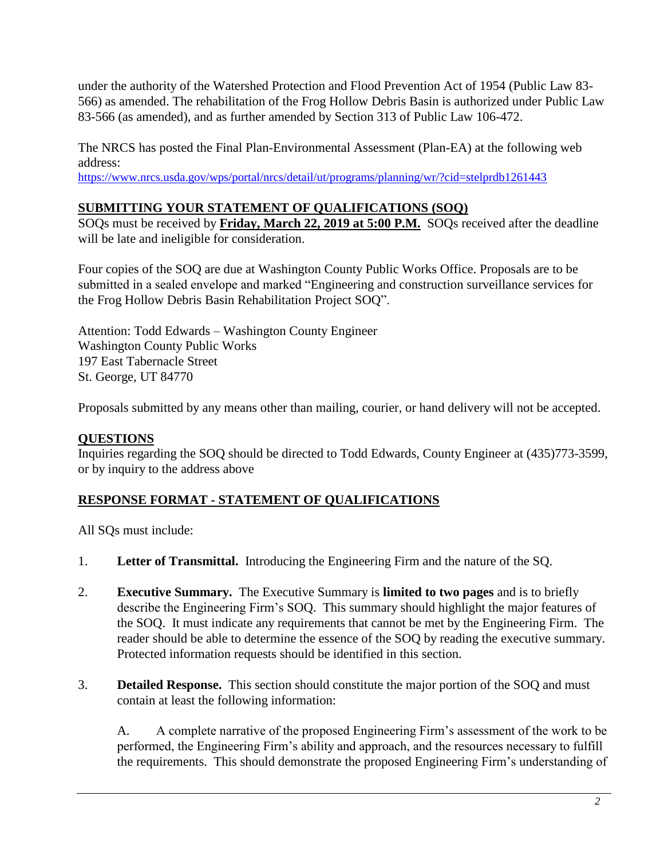under the authority of the Watershed Protection and Flood Prevention Act of 1954 (Public Law 83- 566) as amended. The rehabilitation of the Frog Hollow Debris Basin is authorized under Public Law 83-566 (as amended), and as further amended by Section 313 of Public Law 106-472.

The NRCS has posted the Final Plan-Environmental Assessment (Plan-EA) at the following web address:

https://www.nrcs.usda.gov/wps/portal/nrcs/detail/ut/programs/planning/wr/?cid=stelprdb1261443

# **SUBMITTING YOUR STATEMENT OF QUALIFICATIONS (SOQ)**

SOQs must be received by **Friday, March 22, 2019 at 5:00 P.M.** SOQs received after the deadline will be late and ineligible for consideration.

Four copies of the SOQ are due at Washington County Public Works Office. Proposals are to be submitted in a sealed envelope and marked "Engineering and construction surveillance services for the Frog Hollow Debris Basin Rehabilitation Project SOQ".

Attention: Todd Edwards – Washington County Engineer Washington County Public Works 197 East Tabernacle Street St. George, UT 84770

Proposals submitted by any means other than mailing, courier, or hand delivery will not be accepted.

## **QUESTIONS**

Inquiries regarding the SOQ should be directed to Todd Edwards, County Engineer at (435)773-3599, or by inquiry to the address above

## **RESPONSE FORMAT - STATEMENT OF QUALIFICATIONS**

All SQs must include:

- 1. **Letter of Transmittal.** Introducing the Engineering Firm and the nature of the SQ.
- 2. **Executive Summary.** The Executive Summary is **limited to two pages** and is to briefly describe the Engineering Firm's SOQ. This summary should highlight the major features of the SOQ. It must indicate any requirements that cannot be met by the Engineering Firm. The reader should be able to determine the essence of the SOQ by reading the executive summary. Protected information requests should be identified in this section.
- 3. **Detailed Response.** This section should constitute the major portion of the SOQ and must contain at least the following information:

A. A complete narrative of the proposed Engineering Firm's assessment of the work to be performed, the Engineering Firm's ability and approach, and the resources necessary to fulfill the requirements. This should demonstrate the proposed Engineering Firm's understanding of